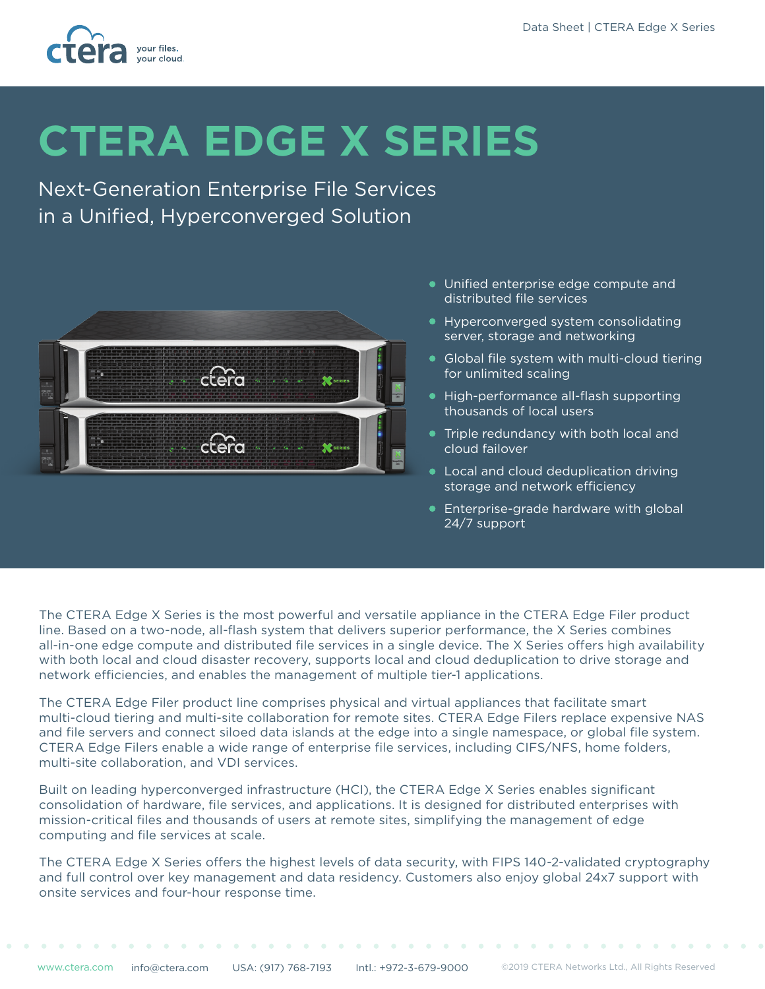

# **CTERA EDGE X SERIES**

Next-Generation Enterprise File Services in a Unified, Hyperconverged Solution



- Unified enterprise edge compute and distributed file services
- Hyperconverged system consolidating server, storage and networking
- Global file system with multi-cloud tiering for unlimited scaling
- High-performance all-flash supporting thousands of local users
- **Triple redundancy with both local and** cloud failover
- **Local and cloud deduplication driving** storage and network efficiency
- **•** Enterprise-grade hardware with global 24/7 support

The CTERA Edge X Series is the most powerful and versatile appliance in the CTERA Edge Filer product line. Based on a two-node, all-flash system that delivers superior performance, the X Series combines all-in-one edge compute and distributed file services in a single device. The X Series offers high availability with both local and cloud disaster recovery, supports local and cloud deduplication to drive storage and network efficiencies, and enables the management of multiple tier-1 applications.

The CTERA Edge Filer product line comprises physical and virtual appliances that facilitate smart multi-cloud tiering and multi-site collaboration for remote sites. CTERA Edge Filers replace expensive NAS and file servers and connect siloed data islands at the edge into a single namespace, or global file system. CTERA Edge Filers enable a wide range of enterprise file services, including CIFS/NFS, home folders, multi-site collaboration, and VDI services.

Built on leading hyperconverged infrastructure (HCI), the CTERA Edge X Series enables significant consolidation of hardware, file services, and applications. It is designed for distributed enterprises with mission-critical files and thousands of users at remote sites, simplifying the management of edge computing and file services at scale.

The CTERA Edge X Series offers the highest levels of data security, with FIPS 140-2-validated cryptography and full control over key management and data residency. Customers also enjoy global 24x7 support with onsite services and four-hour response time.

 $\mathbf{a} \cdot \mathbf{a} = \mathbf{a} \cdot \mathbf{a}$